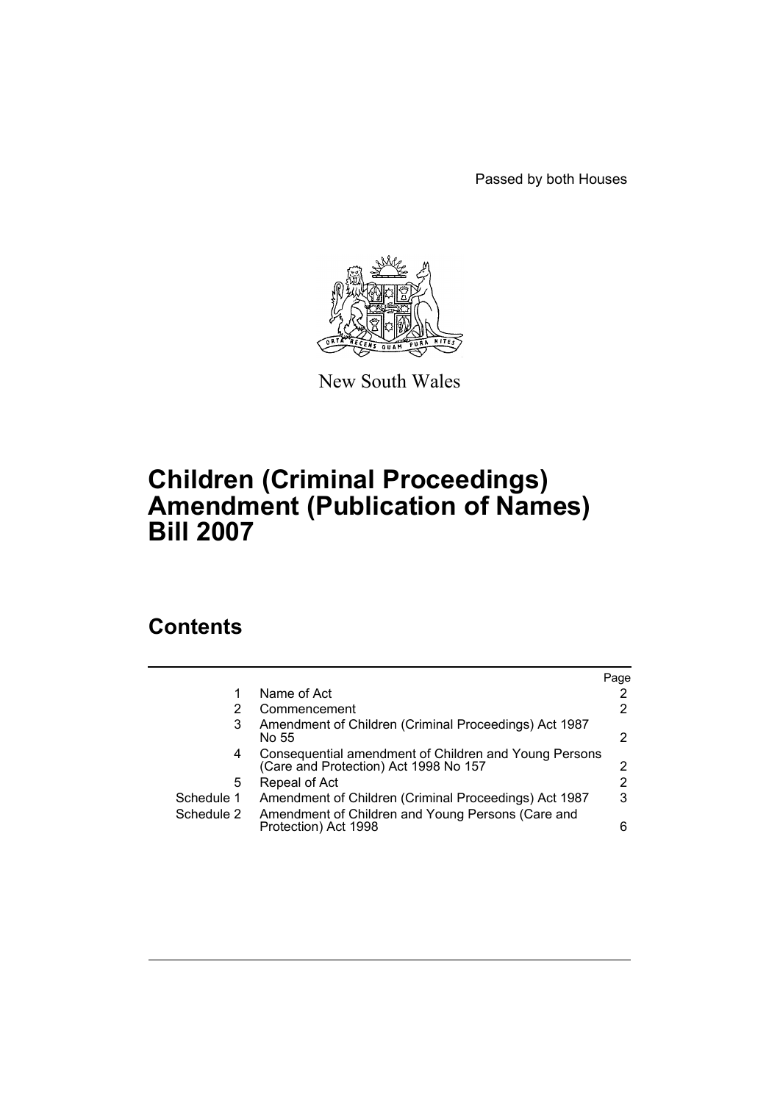Passed by both Houses



New South Wales

## **Children (Criminal Proceedings) Amendment (Publication of Names) Bill 2007**

## **Contents**

|            |                                                                                                | Page                  |
|------------|------------------------------------------------------------------------------------------------|-----------------------|
|            | Name of Act                                                                                    | 2                     |
|            | Commencement                                                                                   | $\mathbf{2}^{\prime}$ |
| 3          | Amendment of Children (Criminal Proceedings) Act 1987<br>No 55                                 | 2                     |
| 4          | Consequential amendment of Children and Young Persons<br>(Care and Protection) Act 1998 No 157 | 2                     |
| 5          | Repeal of Act                                                                                  | $\overline{2}$        |
| Schedule 1 | Amendment of Children (Criminal Proceedings) Act 1987                                          | 3                     |
| Schedule 2 | Amendment of Children and Young Persons (Care and<br>Protection) Act 1998                      | 6                     |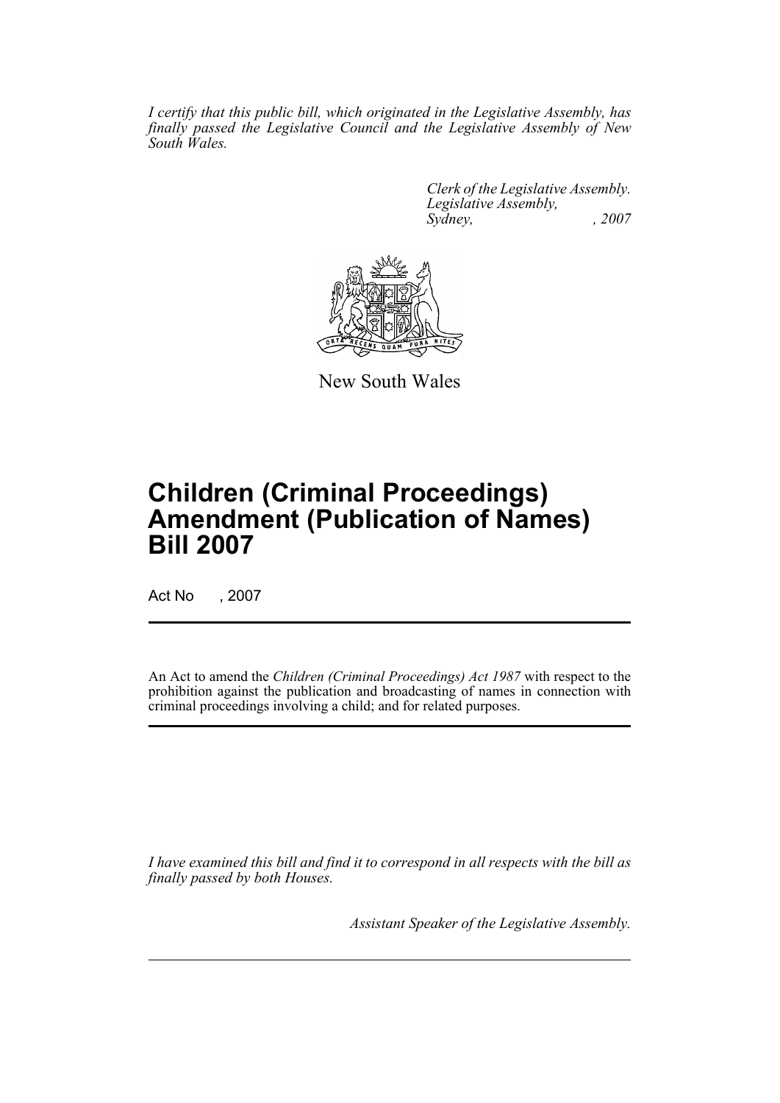*I certify that this public bill, which originated in the Legislative Assembly, has finally passed the Legislative Council and the Legislative Assembly of New South Wales.*

> *Clerk of the Legislative Assembly. Legislative Assembly, Sydney, , 2007*



New South Wales

# **Children (Criminal Proceedings) Amendment (Publication of Names) Bill 2007**

Act No , 2007

An Act to amend the *Children (Criminal Proceedings) Act 1987* with respect to the prohibition against the publication and broadcasting of names in connection with criminal proceedings involving a child; and for related purposes.

*I have examined this bill and find it to correspond in all respects with the bill as finally passed by both Houses.*

*Assistant Speaker of the Legislative Assembly.*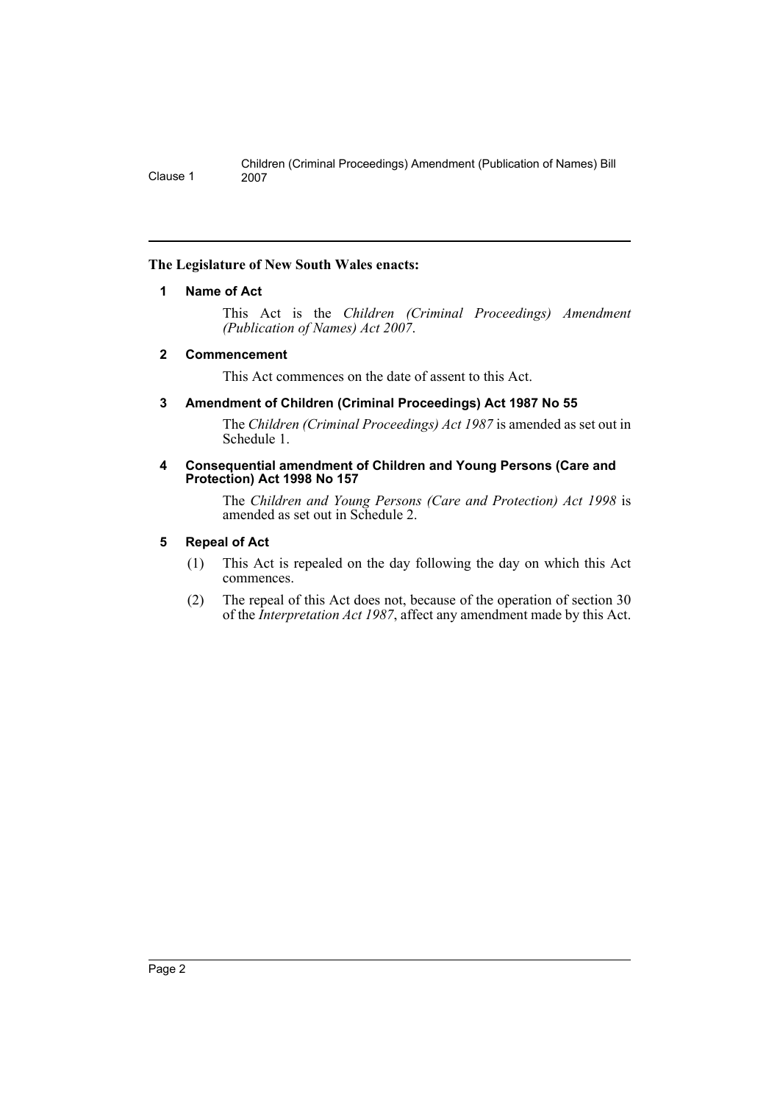#### <span id="page-2-0"></span>**The Legislature of New South Wales enacts:**

#### **1 Name of Act**

This Act is the *Children (Criminal Proceedings) Amendment (Publication of Names) Act 2007*.

#### <span id="page-2-1"></span>**2 Commencement**

This Act commences on the date of assent to this Act.

<span id="page-2-2"></span>**3 Amendment of Children (Criminal Proceedings) Act 1987 No 55**

The *Children (Criminal Proceedings) Act 1987* is amended as set out in Schedule 1.

#### <span id="page-2-3"></span>**4 Consequential amendment of Children and Young Persons (Care and Protection) Act 1998 No 157**

The *Children and Young Persons (Care and Protection) Act 1998* is amended as set out in Schedule 2.

#### <span id="page-2-4"></span>**5 Repeal of Act**

- (1) This Act is repealed on the day following the day on which this Act commences.
- (2) The repeal of this Act does not, because of the operation of section 30 of the *Interpretation Act 1987*, affect any amendment made by this Act.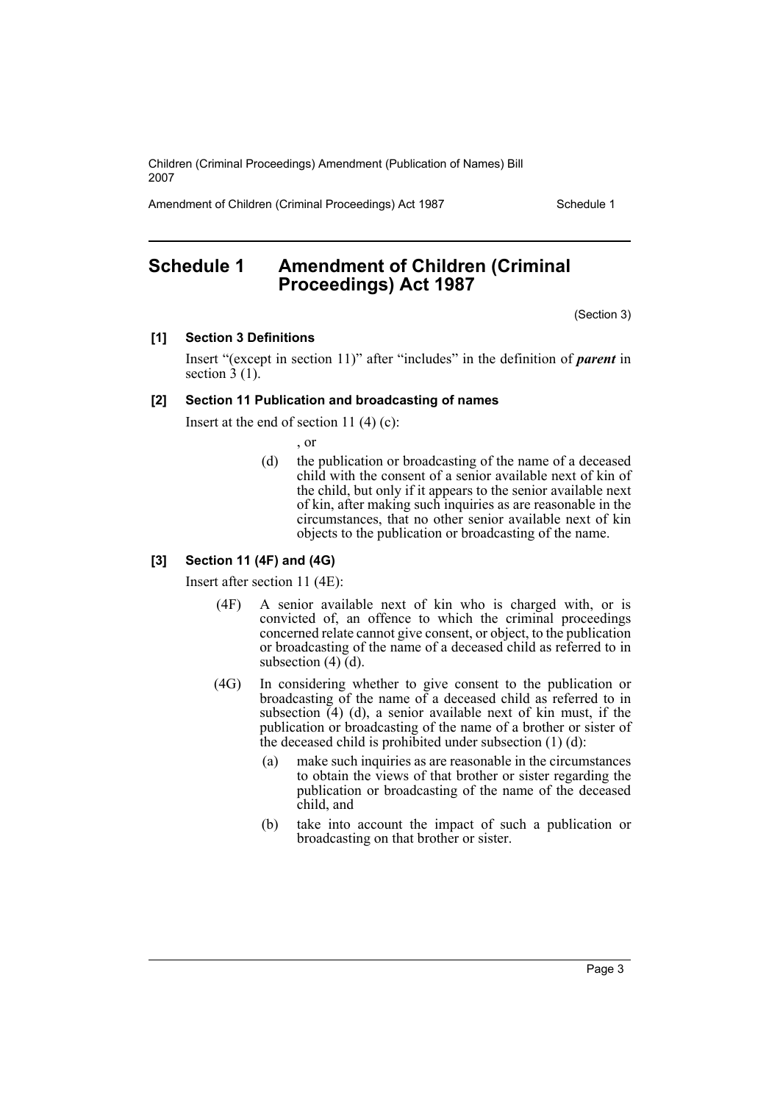Amendment of Children (Criminal Proceedings) Act 1987 Schedule 1

## <span id="page-3-0"></span>**Schedule 1 Amendment of Children (Criminal Proceedings) Act 1987**

(Section 3)

#### **[1] Section 3 Definitions**

Insert "(except in section 11)" after "includes" in the definition of *parent* in section  $3(1)$ .

#### **[2] Section 11 Publication and broadcasting of names**

Insert at the end of section 11 $(4)(c)$ :

, or

(d) the publication or broadcasting of the name of a deceased child with the consent of a senior available next of kin of the child, but only if it appears to the senior available next of kin, after making such inquiries as are reasonable in the circumstances, that no other senior available next of kin objects to the publication or broadcasting of the name.

#### **[3] Section 11 (4F) and (4G)**

Insert after section 11 (4E):

- (4F) A senior available next of kin who is charged with, or is convicted of, an offence to which the criminal proceedings concerned relate cannot give consent, or object, to the publication or broadcasting of the name of a deceased child as referred to in subsection (4) (d).
- (4G) In considering whether to give consent to the publication or broadcasting of the name of a deceased child as referred to in subsection  $(4)$  (d), a senior available next of kin must, if the publication or broadcasting of the name of a brother or sister of the deceased child is prohibited under subsection (1) (d):
	- (a) make such inquiries as are reasonable in the circumstances to obtain the views of that brother or sister regarding the publication or broadcasting of the name of the deceased child, and
	- (b) take into account the impact of such a publication or broadcasting on that brother or sister.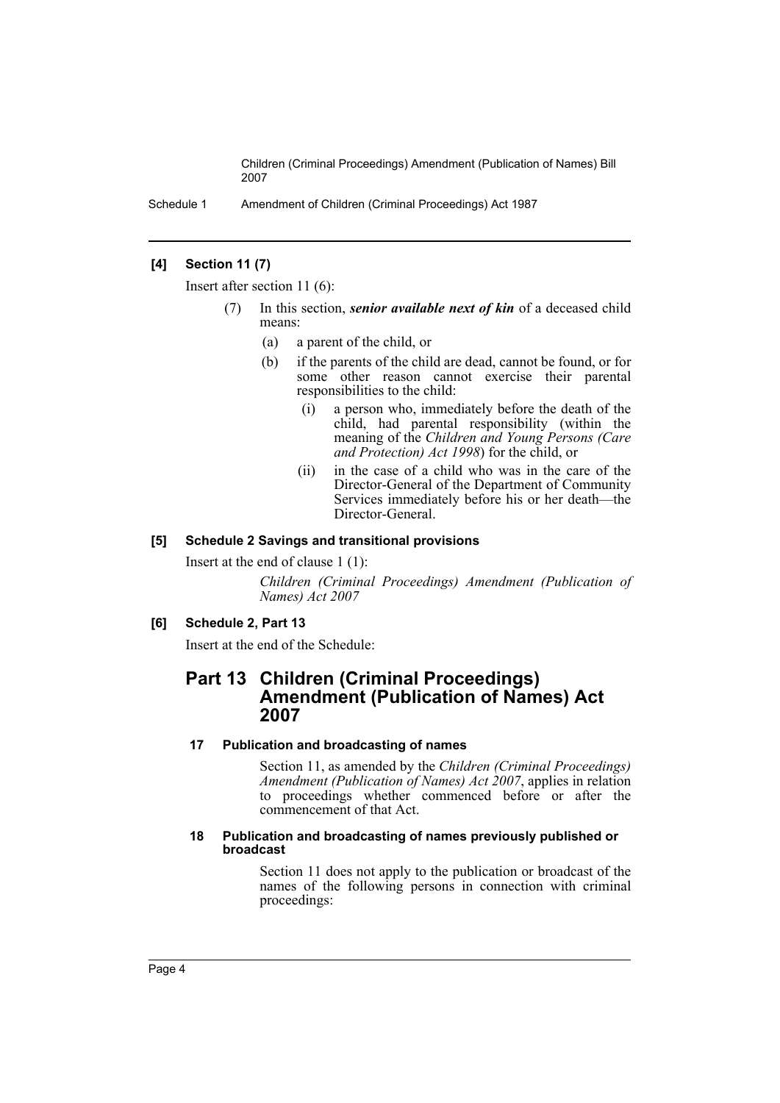Schedule 1 Amendment of Children (Criminal Proceedings) Act 1987

#### **[4] Section 11 (7)**

Insert after section 11 (6):

- In this section, *senior available next of kin* of a deceased child means:
	- (a) a parent of the child, or
	- (b) if the parents of the child are dead, cannot be found, or for some other reason cannot exercise their parental responsibilities to the child:
		- (i) a person who, immediately before the death of the child, had parental responsibility (within the meaning of the *Children and Young Persons (Care and Protection) Act 1998*) for the child, or
		- (ii) in the case of a child who was in the care of the Director-General of the Department of Community Services immediately before his or her death—the Director-General.

#### **[5] Schedule 2 Savings and transitional provisions**

Insert at the end of clause 1 (1):

*Children (Criminal Proceedings) Amendment (Publication of Names) Act 2007*

#### **[6] Schedule 2, Part 13**

Insert at the end of the Schedule:

### **Part 13 Children (Criminal Proceedings) Amendment (Publication of Names) Act 2007**

#### **17 Publication and broadcasting of names**

Section 11, as amended by the *Children (Criminal Proceedings) Amendment (Publication of Names) Act 2007*, applies in relation to proceedings whether commenced before or after the commencement of that Act.

#### **18 Publication and broadcasting of names previously published or broadcast**

Section 11 does not apply to the publication or broadcast of the names of the following persons in connection with criminal proceedings: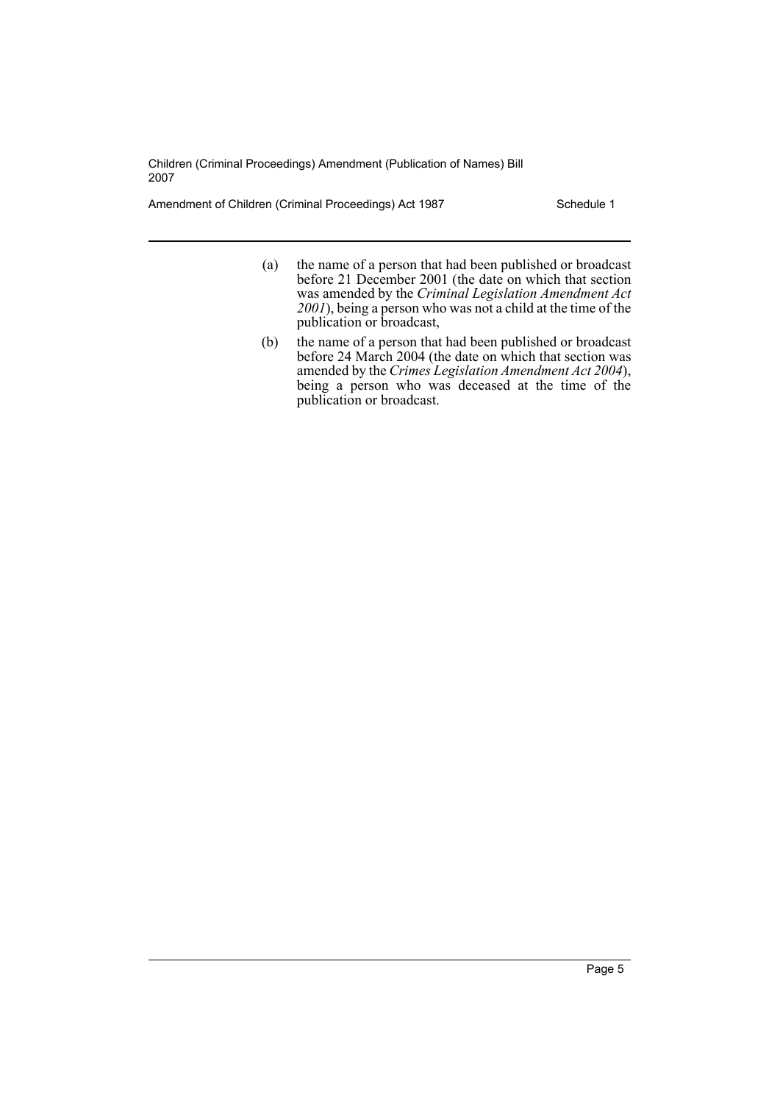Amendment of Children (Criminal Proceedings) Act 1987 Schedule 1

- (a) the name of a person that had been published or broadcast before 21 December 2001 (the date on which that section was amended by the *Criminal Legislation Amendment Act 2001*), being a person who was not a child at the time of the publication or broadcast,
- (b) the name of a person that had been published or broadcast before 24 March 2004 (the date on which that section was amended by the *Crimes Legislation Amendment Act 2004*), being a person who was deceased at the time of the publication or broadcast.